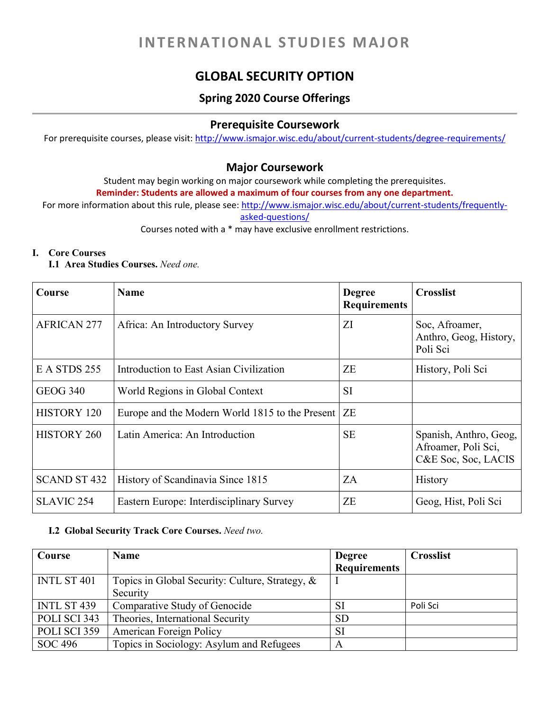# **INTERNATIONAL STUDIES MAJOR**

# **GLOBAL SECURITY OPTION**

# **Spring 2020 Course Offerings**

## **Prerequisite Coursework**

For prerequisite courses, please visit: <http://www.ismajor.wisc.edu/about/current-students/degree-requirements/>

### **Major Coursework**

Student may begin working on major coursework while completing the prerequisites.

**Reminder: Students are allowed a maximum of four courses from any one department.** 

For more information about this rule, please see: [http://www.ismajor.wisc.edu/about/current-students/frequently](http://www.ismajor.wisc.edu/about/current-students/frequently-asked-questions/)[asked-questions/](http://www.ismajor.wisc.edu/about/current-students/frequently-asked-questions/)

Courses noted with a \* may have exclusive enrollment restrictions.

#### **I. Core Courses**

#### **I.1 Area Studies Courses.** *Need one.*

| Course              | <b>Name</b>                                     | <b>Degree</b><br><b>Requirements</b> | <b>Crosslist</b>                                                     |
|---------------------|-------------------------------------------------|--------------------------------------|----------------------------------------------------------------------|
| <b>AFRICAN 277</b>  | Africa: An Introductory Survey                  | ΖI                                   | Soc, Afroamer,<br>Anthro, Geog, History,<br>Poli Sci                 |
| E A STDS 255        | Introduction to East Asian Civilization         | ZE                                   | History, Poli Sci                                                    |
| <b>GEOG 340</b>     | World Regions in Global Context                 | <b>SI</b>                            |                                                                      |
| <b>HISTORY 120</b>  | Europe and the Modern World 1815 to the Present | ZE                                   |                                                                      |
| <b>HISTORY 260</b>  | Latin America: An Introduction                  | <b>SE</b>                            | Spanish, Anthro, Geog,<br>Afroamer, Poli Sci,<br>C&E Soc, Soc, LACIS |
| <b>SCAND ST 432</b> | History of Scandinavia Since 1815               | ZA                                   | History                                                              |
| <b>SLAVIC 254</b>   | Eastern Europe: Interdisciplinary Survey        | ZE                                   | Geog, Hist, Poli Sci                                                 |

#### **I.2 Global Security Track Core Courses.** *Need two.*

| Course       | <b>Name</b>                                        | <b>Degree</b>       | <b>Crosslist</b> |
|--------------|----------------------------------------------------|---------------------|------------------|
|              |                                                    | <b>Requirements</b> |                  |
| INTL ST 401  | Topics in Global Security: Culture, Strategy, $\&$ |                     |                  |
|              | Security                                           |                     |                  |
| INTL ST 439  | Comparative Study of Genocide                      | SI                  | Poli Sci         |
| POLI SCI 343 | Theories, International Security                   | <b>SD</b>           |                  |
| POLI SCI 359 | American Foreign Policy                            | SI                  |                  |
| SOC 496      | Topics in Sociology: Asylum and Refugees           | A                   |                  |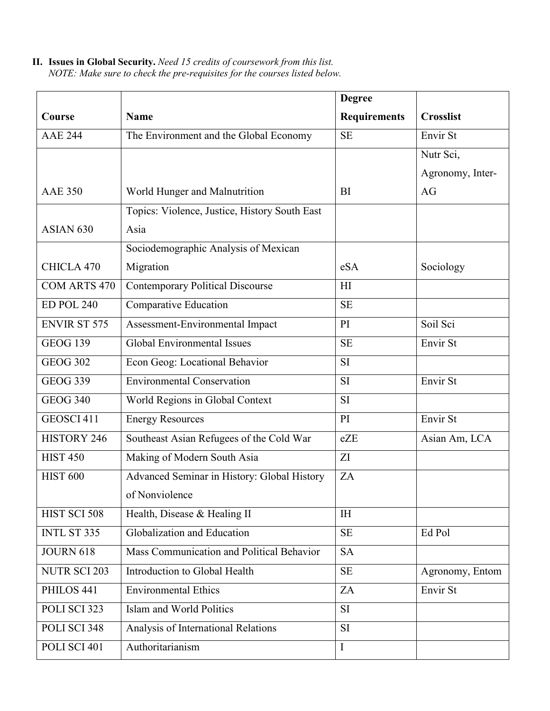**II. Issues in Global Security.** *Need 15 credits of coursework from this list. NOTE: Make sure to check the pre-requisites for the courses listed below.* 

|                      |                                               | <b>Degree</b>       |                  |
|----------------------|-----------------------------------------------|---------------------|------------------|
| Course               | <b>Name</b>                                   | <b>Requirements</b> | <b>Crosslist</b> |
| <b>AAE 244</b>       | The Environment and the Global Economy        | <b>SE</b>           | Envir St         |
|                      |                                               |                     | Nutr Sci,        |
|                      |                                               |                     | Agronomy, Inter- |
| <b>AAE 350</b>       | World Hunger and Malnutrition                 | BI                  | AG               |
|                      | Topics: Violence, Justice, History South East |                     |                  |
| ASIAN <sub>630</sub> | Asia                                          |                     |                  |
|                      | Sociodemographic Analysis of Mexican          |                     |                  |
| CHICLA 470           | Migration                                     | eSA                 | Sociology        |
| COM ARTS 470         | <b>Contemporary Political Discourse</b>       | H1                  |                  |
| <b>ED POL 240</b>    | Comparative Education                         | <b>SE</b>           |                  |
| <b>ENVIR ST 575</b>  | Assessment-Environmental Impact               | PI                  | Soil Sci         |
| <b>GEOG 139</b>      | <b>Global Environmental Issues</b>            | <b>SE</b>           | Envir St         |
| <b>GEOG 302</b>      | Econ Geog: Locational Behavior                | <b>SI</b>           |                  |
| <b>GEOG 339</b>      | <b>Environmental Conservation</b>             | SI                  | Envir St         |
| <b>GEOG 340</b>      | World Regions in Global Context               | SI                  |                  |
| GEOSCI 411           | <b>Energy Resources</b>                       | PI                  | Envir St         |
| <b>HISTORY 246</b>   | Southeast Asian Refugees of the Cold War      | eZE                 | Asian Am, LCA    |
| <b>HIST 450</b>      | Making of Modern South Asia                   | ZI                  |                  |
| <b>HIST 600</b>      | Advanced Seminar in History: Global History   | ZA                  |                  |
|                      | of Nonviolence                                |                     |                  |
| HIST SCI 508         | Health, Disease & Healing II                  | <b>IH</b>           |                  |
| INTL ST 335          | Globalization and Education                   | <b>SE</b>           | Ed Pol           |
| <b>JOURN 618</b>     | Mass Communication and Political Behavior     | <b>SA</b>           |                  |
| <b>NUTR SCI 203</b>  | Introduction to Global Health                 | <b>SE</b>           | Agronomy, Entom  |
| PHILOS 441           | <b>Environmental Ethics</b>                   | ZA                  | Envir St         |
| POLI SCI 323         | Islam and World Politics                      | SI                  |                  |
| POLI SCI 348         | Analysis of International Relations           | <b>SI</b>           |                  |
| POLI SCI 401         | Authoritarianism                              | $\mathbf I$         |                  |